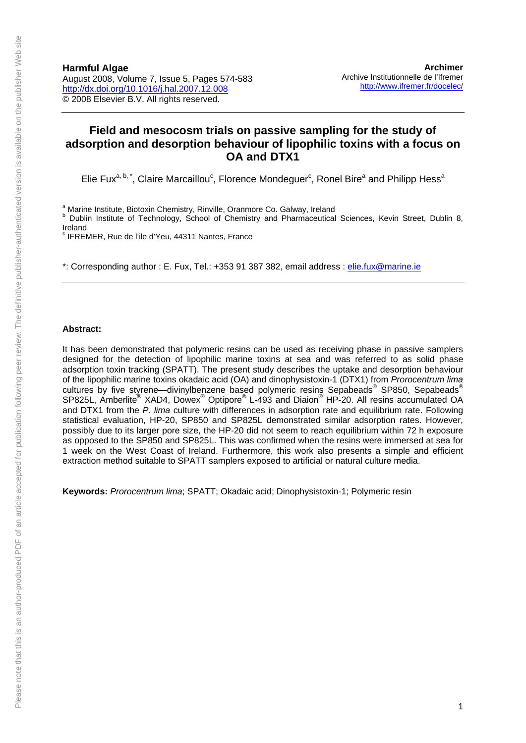## **Field and mesocosm trials on passive sampling for the study of adsorption and desorption behaviour of lipophilic toxins with a focus on OA and DTX1**

Elie Fux<sup>a, b,\*</sup>, Claire Marcaillou<sup>c</sup>, Florence Mondeguer<sup>c</sup>, Ronel Bire<sup>a</sup> and Philipp Hess<sup>a</sup>

<sup>a</sup> Marine Institute, Biotoxin Chemistry, Rinville, Oranmore Co. Galway, Ireland

<sup>b</sup> Dublin Institute of Technology, School of Chemistry and Pharmaceutical Sciences, Kevin Street, Dublin 8, Ireland

<sup>c</sup> IFREMER, Rue de l'ile d'Yeu, 44311 Nantes, France

\*: Corresponding author : E. Fux, Tel.: +353 91 387 382, email address : [elie.fux@marine.ie](mailto:elie.fux@marine.ie)

#### **Abstract:**

It has been demonstrated that polymeric resins can be used as receiving phase in passive samplers designed for the detection of lipophilic marine toxins at sea and was referred to as solid phase adsorption toxin tracking (SPATT). The present study describes the uptake and desorption behaviour of the lipophilic marine toxins okadaic acid (OA) and dinophysistoxin-1 (DTX1) from *Prorocentrum lima* cultures by five styrene—divinylbenzene based polymeric resins Sepabeads® SP850, Sepabeads® SP825L, Amberlite® XAD4, Dowex® Optipore® L-493 and Diaion® HP-20. All resins accumulated OA and DTX1 from the *P. lima* culture with differences in adsorption rate and equilibrium rate. Following statistical evaluation, HP-20, SP850 and SP825L demonstrated similar adsorption rates. However, possibly due to its larger pore size, the HP-20 did not seem to reach equilibrium within 72 h exposure as opposed to the SP850 and SP825L. This was confirmed when the resins were immersed at sea for 1 week on the West Coast of Ireland. Furthermore, this work also presents a simple and efficient extraction method suitable to SPATT samplers exposed to artificial or natural culture media.

**Keywords:** *Prorocentrum lima*; SPATT; Okadaic acid; Dinophysistoxin-1; Polymeric resin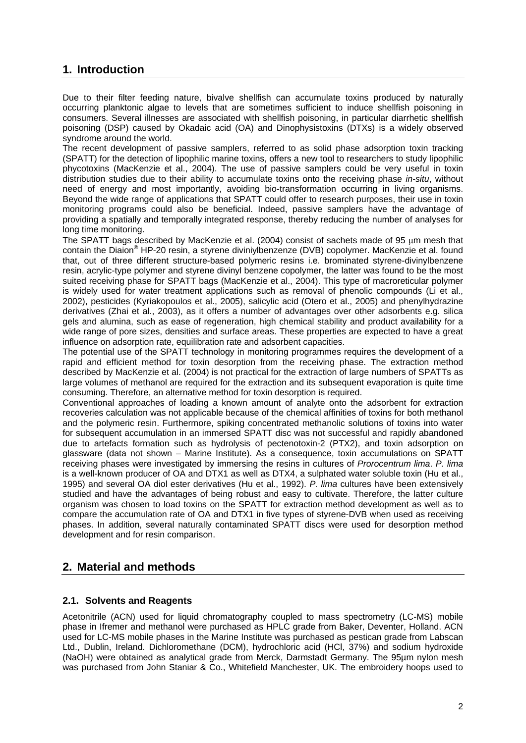# **1. Introduction**

Due to their filter feeding nature, bivalve shellfish can accumulate toxins produced by naturally occurring planktonic algae to levels that are sometimes sufficient to induce shellfish poisoning in consumers. Several illnesses are associated with shellfish poisoning, in particular diarrhetic shellfish poisoning (DSP) caused by Okadaic acid (OA) and Dinophysistoxins (DTXs) is a widely observed syndrome around the world.

The recent development of passive samplers, referred to as solid phase adsorption toxin tracking (SPATT) for the detection of lipophilic marine toxins, offers a new tool to researchers to study lipophilic phycotoxins (MacKenzie et al., 2004). The use of passive samplers could be very useful in toxin distribution studies due to their ability to accumulate toxins onto the receiving phase *in-situ*, without need of energy and most importantly, avoiding bio-transformation occurring in living organisms. Beyond the wide range of applications that SPATT could offer to research purposes, their use in toxin monitoring programs could also be beneficial. Indeed, passive samplers have the advantage of providing a spatially and temporally integrated response, thereby reducing the number of analyses for long time monitoring.

The SPATT bags described by MacKenzie et al. (2004) consist of sachets made of 95 um mesh that contain the Diaion® HP-20 resin, a styrene diviniylbenzenze (DVB) copolymer. MacKenzie et al. found that, out of three different structure-based polymeric resins i.e. brominated styrene-divinylbenzene resin, acrylic-type polymer and styrene divinyl benzene copolymer, the latter was found to be the most suited receiving phase for SPATT bags (MacKenzie et al., 2004). This type of macroreticular polymer is widely used for water treatment applications such as removal of phenolic compounds (Li et al., 2002), pesticides (Kyriakopoulos et al., 2005), salicylic acid (Otero et al., 2005) and phenylhydrazine derivatives (Zhai et al., 2003), as it offers a number of advantages over other adsorbents e.g. silica gels and alumina, such as ease of regeneration, high chemical stability and product availability for a wide range of pore sizes, densities and surface areas. These properties are expected to have a great influence on adsorption rate, equilibration rate and adsorbent capacities.

The potential use of the SPATT technology in monitoring programmes requires the development of a rapid and efficient method for toxin desorption from the receiving phase. The extraction method described by MacKenzie et al. (2004) is not practical for the extraction of large numbers of SPATTs as large volumes of methanol are required for the extraction and its subsequent evaporation is quite time consuming. Therefore, an alternative method for toxin desorption is required.

Conventional approaches of loading a known amount of analyte onto the adsorbent for extraction recoveries calculation was not applicable because of the chemical affinities of toxins for both methanol and the polymeric resin. Furthermore, spiking concentrated methanolic solutions of toxins into water for subsequent accumulation in an immersed SPATT disc was not successful and rapidly abandoned due to artefacts formation such as hydrolysis of pectenotoxin-2 (PTX2), and toxin adsorption on glassware (data not shown – Marine Institute). As a consequence, toxin accumulations on SPATT receiving phases were investigated by immersing the resins in cultures of *Prorocentrum lima*. *P. lima* is a well-known producer of OA and DTX1 as well as DTX4, a sulphated water soluble toxin (Hu et al., 1995) and several OA diol ester derivatives (Hu et al., 1992). *P. lima* cultures have been extensively studied and have the advantages of being robust and easy to cultivate. Therefore, the latter culture organism was chosen to load toxins on the SPATT for extraction method development as well as to compare the accumulation rate of OA and DTX1 in five types of styrene-DVB when used as receiving phases. In addition, several naturally contaminated SPATT discs were used for desorption method development and for resin comparison.

## **2. Material and methods**

### **2.1. Solvents and Reagents**

Acetonitrile (ACN) used for liquid chromatography coupled to mass spectrometry (LC-MS) mobile phase in Ifremer and methanol were purchased as HPLC grade from Baker, Deventer, Holland. ACN used for LC-MS mobile phases in the Marine Institute was purchased as pestican grade from Labscan Ltd., Dublin, Ireland. Dichloromethane (DCM), hydrochloric acid (HCl, 37%) and sodium hydroxide (NaOH) were obtained as analytical grade from Merck, Darmstadt Germany. The 95µm nylon mesh was purchased from John Staniar & Co., Whitefield Manchester, UK. The embroidery hoops used to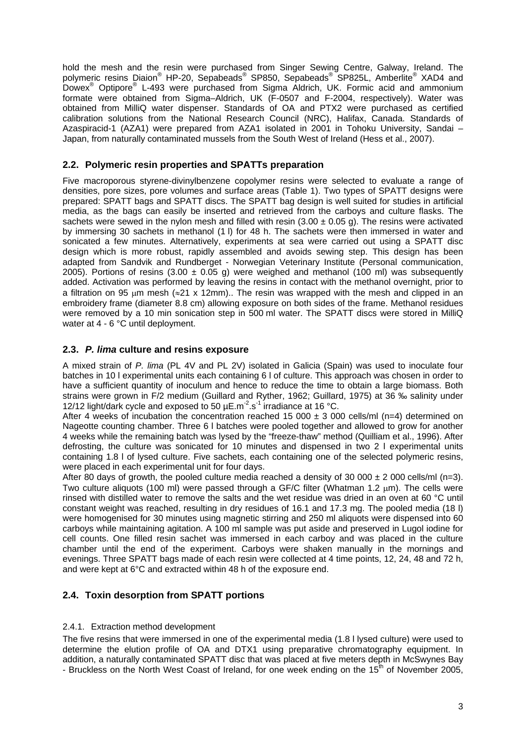hold the mesh and the resin were purchased from Singer Sewing Centre, Galway, Ireland. The polymeric resins Diaion® HP-20, Sepabeads® SP850, Sepabeads® SP825L, Amberlite® XAD4 and Dowex® Optipore® L-493 were purchased from Sigma Aldrich, UK. Formic acid and ammonium formate were obtained from Sigma–Aldrich, UK (F-0507 and F-2004, respectively). Water was obtained from MilliQ water dispenser. Standards of OA and PTX2 were purchased as certified calibration solutions from the National Research Council (NRC), Halifax, Canada. Standards of Azaspiracid-1 (AZA1) were prepared from AZA1 isolated in 2001 in Tohoku University, Sandai – Japan, from naturally contaminated mussels from the South West of Ireland (Hess et al., 2007).

#### **2.2. Polymeric resin properties and SPATTs preparation**

Five macroporous styrene-divinylbenzene copolymer resins were selected to evaluate a range of densities, pore sizes, pore volumes and surface areas (Table 1). Two types of SPATT designs were prepared: SPATT bags and SPATT discs. The SPATT bag design is well suited for studies in artificial media, as the bags can easily be inserted and retrieved from the carboys and culture flasks. The sachets were sewed in the nylon mesh and filled with resin  $(3.00 \pm 0.05 \text{ g})$ . The resins were activated by immersing 30 sachets in methanol (1 l) for 48 h. The sachets were then immersed in water and sonicated a few minutes. Alternatively, experiments at sea were carried out using a SPATT disc design which is more robust, rapidly assembled and avoids sewing step. This design has been adapted from Sandvik and Rundberget - Norwegian Veterinary Institute (Personal communication, 2005). Portions of resins (3.00  $\pm$  0.05 g) were weighed and methanol (100 ml) was subsequently added. Activation was performed by leaving the resins in contact with the methanol overnight, prior to a filtration on 95  $\mu$ m mesh ( $\approx$ 21 x 12mm).. The resin was wrapped with the mesh and clipped in an embroidery frame (diameter 8.8 cm) allowing exposure on both sides of the frame. Methanol residues were removed by a 10 min sonication step in 500 ml water. The SPATT discs were stored in MilliQ water at 4 - 6 °C until deployment.

#### **2.3.** *P. lima* **culture and resins exposure**

A mixed strain of *P. lima* (PL 4V and PL 2V) isolated in Galicia (Spain) was used to inoculate four batches in 10 l experimental units each containing 6 l of culture. This approach was chosen in order to have a sufficient quantity of inoculum and hence to reduce the time to obtain a large biomass. Both strains were grown in F/2 medium (Guillard and Ryther, 1962; Guillard, 1975) at 36 ‰ salinity under 12/12 light/dark cycle and exposed to 50  $\mu$ E.m<sup>-2</sup>.s<sup>-1</sup> irradiance at 16 °C.

After 4 weeks of incubation the concentration reached 15 000  $\pm$  3 000 cells/ml (n=4) determined on Nageotte counting chamber. Three 6 l batches were pooled together and allowed to grow for another 4 weeks while the remaining batch was lysed by the "freeze-thaw" method (Quilliam et al., 1996). After defrosting, the culture was sonicated for 10 minutes and dispensed in two 2 l experimental units containing 1.8 l of lysed culture. Five sachets, each containing one of the selected polymeric resins, were placed in each experimental unit for four days.

After 80 days of growth, the pooled culture media reached a density of 30 000  $\pm$  2 000 cells/ml (n=3). Two culture aliquots (100 ml) were passed through a GF/C filter (Whatman 1.2 um). The cells were rinsed with distilled water to remove the salts and the wet residue was dried in an oven at 60 °C until constant weight was reached, resulting in dry residues of 16.1 and 17.3 mg. The pooled media (18 l) were homogenised for 30 minutes using magnetic stirring and 250 ml aliquots were dispensed into 60 carboys while maintaining agitation. A 100 ml sample was put aside and preserved in Lugol iodine for cell counts. One filled resin sachet was immersed in each carboy and was placed in the culture chamber until the end of the experiment. Carboys were shaken manually in the mornings and evenings. Three SPATT bags made of each resin were collected at 4 time points, 12, 24, 48 and 72 h, and were kept at 6°C and extracted within 48 h of the exposure end.

### **2.4. Toxin desorption from SPATT portions**

#### 2.4.1. Extraction method development

The five resins that were immersed in one of the experimental media (1.8 l lysed culture) were used to determine the elution profile of OA and DTX1 using preparative chromatography equipment. In addition, a naturally contaminated SPATT disc that was placed at five meters depth in McSwynes Bay - Bruckless on the North West Coast of Ireland, for one week ending on the  $15<sup>th</sup>$  of November 2005,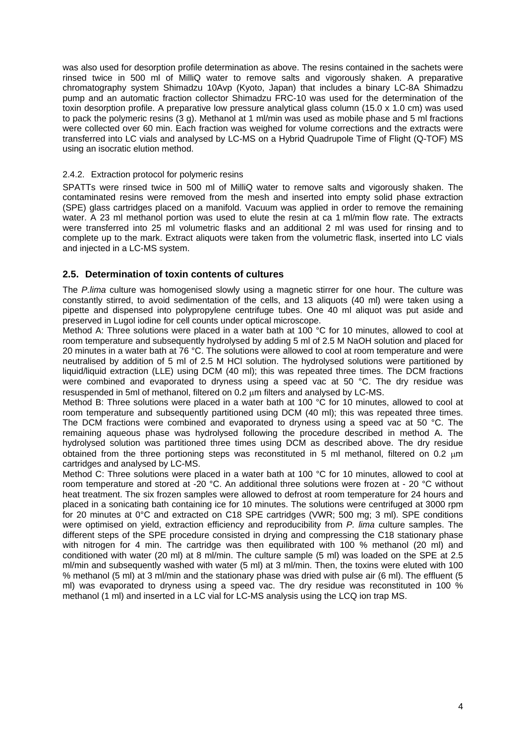was also used for desorption profile determination as above. The resins contained in the sachets were rinsed twice in 500 ml of MilliQ water to remove salts and vigorously shaken. A preparative chromatography system Shimadzu 10Avp (Kyoto, Japan) that includes a binary LC-8A Shimadzu pump and an automatic fraction collector Shimadzu FRC-10 was used for the determination of the toxin desorption profile. A preparative low pressure analytical glass column (15.0 x 1.0 cm) was used to pack the polymeric resins (3 g). Methanol at 1 ml/min was used as mobile phase and 5 ml fractions were collected over 60 min. Each fraction was weighed for volume corrections and the extracts were transferred into LC vials and analysed by LC-MS on a Hybrid Quadrupole Time of Flight (Q-TOF) MS using an isocratic elution method.

#### 2.4.2. Extraction protocol for polymeric resins

SPATTs were rinsed twice in 500 ml of MilliQ water to remove salts and vigorously shaken. The contaminated resins were removed from the mesh and inserted into empty solid phase extraction (SPE) glass cartridges placed on a manifold. Vacuum was applied in order to remove the remaining water. A 23 ml methanol portion was used to elute the resin at ca 1 ml/min flow rate. The extracts were transferred into 25 ml volumetric flasks and an additional 2 ml was used for rinsing and to complete up to the mark. Extract aliquots were taken from the volumetric flask, inserted into LC vials and injected in a LC-MS system.

#### **2.5. Determination of toxin contents of cultures**

The *P.lima* culture was homogenised slowly using a magnetic stirrer for one hour. The culture was constantly stirred, to avoid sedimentation of the cells, and 13 aliquots (40 ml) were taken using a pipette and dispensed into polypropylene centrifuge tubes. One 40 ml aliquot was put aside and preserved in Lugol iodine for cell counts under optical microscope.

Method A: Three solutions were placed in a water bath at 100 °C for 10 minutes, allowed to cool at room temperature and subsequently hydrolysed by adding 5 ml of 2.5 M NaOH solution and placed for 20 minutes in a water bath at 76 °C. The solutions were allowed to cool at room temperature and were neutralised by addition of 5 ml of 2.5 M HCl solution. The hydrolysed solutions were partitioned by liquid/liquid extraction (LLE) using DCM (40 ml); this was repeated three times. The DCM fractions were combined and evaporated to dryness using a speed vac at 50 °C. The dry residue was resuspended in 5ml of methanol, filtered on 0.2  $\mu$ m filters and analysed by LC-MS.

Method B: Three solutions were placed in a water bath at 100 °C for 10 minutes, allowed to cool at room temperature and subsequently partitioned using DCM (40 ml); this was repeated three times. The DCM fractions were combined and evaporated to dryness using a speed vac at 50 °C. The remaining aqueous phase was hydrolysed following the procedure described in method A. The hydrolysed solution was partitioned three times using DCM as described above. The dry residue obtained from the three portioning steps was reconstituted in 5 ml methanol, filtered on 0.2  $\mu$ m cartridges and analysed by LC-MS.

Method C: Three solutions were placed in a water bath at 100 °C for 10 minutes, allowed to cool at room temperature and stored at -20 °C. An additional three solutions were frozen at - 20 °C without heat treatment. The six frozen samples were allowed to defrost at room temperature for 24 hours and placed in a sonicating bath containing ice for 10 minutes. The solutions were centrifuged at 3000 rpm for 20 minutes at 0°C and extracted on C18 SPE cartridges (VWR; 500 mg; 3 ml). SPE conditions were optimised on yield, extraction efficiency and reproducibility from *P. lima* culture samples. The different steps of the SPE procedure consisted in drying and compressing the C18 stationary phase with nitrogen for 4 min. The cartridge was then equilibrated with 100 % methanol (20 ml) and conditioned with water (20 ml) at 8 ml/min. The culture sample (5 ml) was loaded on the SPE at 2.5 ml/min and subsequently washed with water (5 ml) at 3 ml/min. Then, the toxins were eluted with 100 % methanol (5 ml) at 3 ml/min and the stationary phase was dried with pulse air (6 ml). The effluent (5 ml) was evaporated to dryness using a speed vac. The dry residue was reconstituted in 100 % methanol (1 ml) and inserted in a LC vial for LC-MS analysis using the LCQ ion trap MS.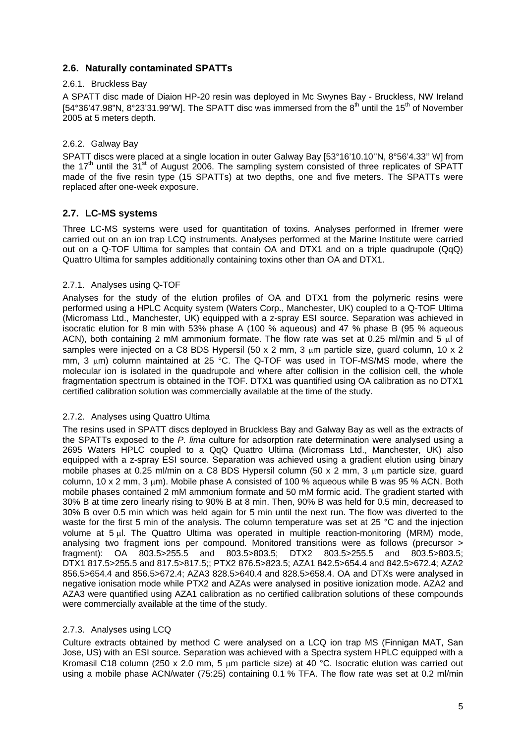### **2.6. Naturally contaminated SPATTs**

#### 2.6.1. Bruckless Bay

A SPATT disc made of Diaion HP-20 resin was deployed in Mc Swynes Bay - Bruckless, NW Ireland [54°36'47.98"N, 8°23'31.99"W]. The SPATT disc was immersed from the  $8<sup>th</sup>$  until the 15<sup>th</sup> of November 2005 at 5 meters depth.

#### 2.6.2. Galway Bay

SPATT discs were placed at a single location in outer Galway Bay [53°16'10.10''N, 8°56'4.33'' W] from the 17<sup>th</sup> until the  $31^{st}$  of August 2006. The sampling system consisted of three replicates of SPATT made of the five resin type (15 SPATTs) at two depths, one and five meters. The SPATTs were replaced after one-week exposure.

### **2.7. LC-MS systems**

Three LC-MS systems were used for quantitation of toxins. Analyses performed in Ifremer were carried out on an ion trap LCQ instruments. Analyses performed at the Marine Institute were carried out on a Q-TOF Ultima for samples that contain OA and DTX1 and on a triple quadrupole (QqQ) Quattro Ultima for samples additionally containing toxins other than OA and DTX1.

#### 2.7.1. Analyses using Q-TOF

Analyses for the study of the elution profiles of OA and DTX1 from the polymeric resins were performed using a HPLC Acquity system (Waters Corp., Manchester, UK) coupled to a Q-TOF Ultima (Micromass Ltd., Manchester, UK) equipped with a z-spray ESI source. Separation was achieved in isocratic elution for 8 min with 53% phase A (100 % aqueous) and 47 % phase B (95 % aqueous ACN), both containing 2 mM ammonium formate. The flow rate was set at 0.25 ml/min and 5 ul of samples were injected on a C8 BDS Hypersil (50 x 2 mm, 3  $\mu$ m particle size, guard column, 10 x 2 mm,  $3 \mu$ m) column maintained at  $25 \text{ °C}$ . The Q-TOF was used in TOF-MS/MS mode, where the molecular ion is isolated in the quadrupole and where after collision in the collision cell, the whole fragmentation spectrum is obtained in the TOF. DTX1 was quantified using OA calibration as no DTX1 certified calibration solution was commercially available at the time of the study.

#### 2.7.2. Analyses using Quattro Ultima

The resins used in SPATT discs deployed in Bruckless Bay and Galway Bay as well as the extracts of the SPATTs exposed to the *P. lima* culture for adsorption rate determination were analysed using a 2695 Waters HPLC coupled to a QqQ Quattro Ultima (Micromass Ltd., Manchester, UK) also equipped with a z-spray ESI source. Separation was achieved using a gradient elution using binary mobile phases at 0.25 ml/min on a C8 BDS Hypersil column (50 x 2 mm, 3  $\mu$ m particle size, quard column, 10 x 2 mm, 3  $\mu$ m). Mobile phase A consisted of 100 % aqueous while B was 95 % ACN. Both mobile phases contained 2 mM ammonium formate and 50 mM formic acid. The gradient started with 30% B at time zero linearly rising to 90% B at 8 min. Then, 90% B was held for 0.5 min, decreased to 30% B over 0.5 min which was held again for 5 min until the next run. The flow was diverted to the waste for the first 5 min of the analysis. The column temperature was set at 25 °C and the injection volume at 5 ul. The Quattro Ultima was operated in multiple reaction-monitoring (MRM) mode, analysing two fragment ions per compound. Monitored transitions were as follows (precursor > fragment): OA 803.5>255.5 and 803.5>803.5; DTX2 803.5>255.5 and 803.5>803.5; DTX1 817.5>255.5 and 817.5>817.5;; PTX2 876.5>823.5; AZA1 842.5>654.4 and 842.5>672.4; AZA2 856.5>654.4 and 856.5>672.4; AZA3 828.5>640.4 and 828.5>658.4. OA and DTXs were analysed in negative ionisation mode while PTX2 and AZAs were analysed in positive ionization mode. AZA2 and AZA3 were quantified using AZA1 calibration as no certified calibration solutions of these compounds were commercially available at the time of the study.

### 2.7.3. Analyses using LCQ

Culture extracts obtained by method C were analysed on a LCQ ion trap MS (Finnigan MAT, San Jose, US) with an ESI source. Separation was achieved with a Spectra system HPLC equipped with a Kromasil C18 column (250 x 2.0 mm, 5 um particle size) at 40 °C. Isocratic elution was carried out using a mobile phase ACN/water (75:25) containing 0.1 % TFA. The flow rate was set at 0.2 ml/min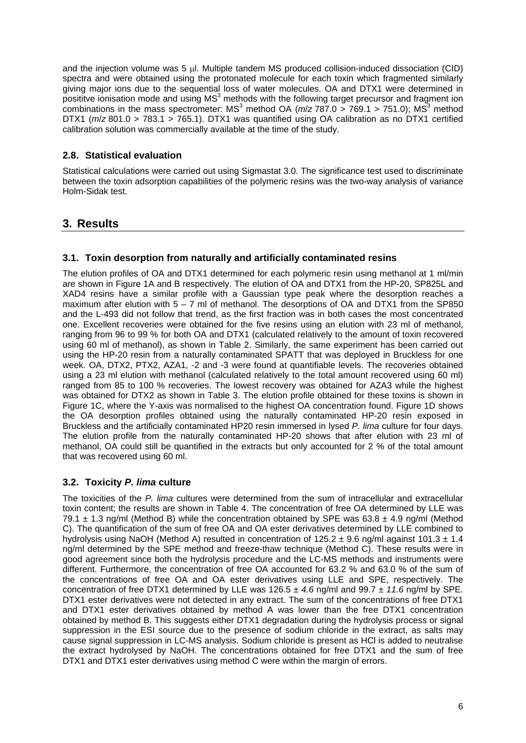and the injection volume was 5  $\mu$ l. Multiple tandem MS produced collision-induced dissociation (CID) spectra and were obtained using the protonated molecule for each toxin which fragmented similarly giving major ions due to the sequential loss of water molecules. OA and DTX1 were determined in posititve ionisation mode and using  $MS<sup>3</sup>$  methods with the following target precursor and fragment ion combinations in the mass spectrometer: MS<sup>3</sup> method OA ( $m/z$  787.0 > 769.1 > 751.0); MS<sup>3</sup> method DTX1 (*m*/*z* 801.0 > 783.1 > 765.1). DTX1 was quantified using OA calibration as no DTX1 certified calibration solution was commercially available at the time of the study.

### **2.8. Statistical evaluation**

Statistical calculations were carried out using Sigmastat 3.0. The significance test used to discriminate between the toxin adsorption capabilities of the polymeric resins was the two-way analysis of variance Holm-Sidak test.

### **3. Results**

### **3.1. Toxin desorption from naturally and artificially contaminated resins**

The elution profiles of OA and DTX1 determined for each polymeric resin using methanol at 1 ml/min are shown in Figure 1A and B respectively. The elution of OA and DTX1 from the HP-20, SP825L and XAD4 resins have a similar profile with a Gaussian type peak where the desorption reaches a maximum after elution with  $5 - 7$  ml of methanol. The desorptions of OA and DTX1 from the SP850 and the L-493 did not follow that trend, as the first fraction was in both cases the most concentrated one. Excellent recoveries were obtained for the five resins using an elution with 23 ml of methanol, ranging from 96 to 99 % for both OA and DTX1 (calculated relatively to the amount of toxin recovered using 60 ml of methanol), as shown in Table 2. Similarly, the same experiment has been carried out using the HP-20 resin from a naturally contaminated SPATT that was deployed in Bruckless for one week. OA, DTX2, PTX2, AZA1, -2 and -3 were found at quantifiable levels. The recoveries obtained using a 23 ml elution with methanol (calculated relatively to the total amount recovered using 60 ml) ranged from 85 to 100 % recoveries. The lowest recovery was obtained for AZA3 while the highest was obtained for DTX2 as shown in Table 3. The elution profile obtained for these toxins is shown in Figure 1C, where the Y-axis was normalised to the highest OA concentration found. Figure 1D shows the OA desorption profiles obtained using the naturally contaminated HP-20 resin exposed in Bruckless and the artificially contaminated HP20 resin immersed in lysed *P. lima* culture for four days. The elution profile from the naturally contaminated HP-20 shows that after elution with 23 ml of methanol, OA could still be quantified in the extracts but only accounted for 2 % of the total amount that was recovered using 60 ml.

### **3.2. Toxicity** *P. lima* **culture**

The toxicities of the *P. lima* cultures were determined from the sum of intracellular and extracellular toxin content; the results are shown in Table 4. The concentration of free OA determined by LLE was 79.1  $\pm$  1.3 ng/ml (Method B) while the concentration obtained by SPE was 63.8  $\pm$  4.9 ng/ml (Method C). The quantification of the sum of free OA and OA ester derivatives determined by LLE combined to hydrolysis using NaOH (Method A) resulted in concentration of  $125.2 \pm 9.6$  ng/ml against  $101.3 \pm 1.4$ ng/ml determined by the SPE method and freeze-thaw technique (Method C). These results were in good agreement since both the hydrolysis procedure and the LC-MS methods and instruments were different. Furthermore, the concentration of free OA accounted for 63.2 % and 63.0 % of the sum of the concentrations of free OA and OA ester derivatives using LLE and SPE, respectively. The concentration of free DTX1 determined by LLE was 126.5 ± *4.6* ng/ml and 99.7 ± *11.6* ng/ml by SPE. DTX1 ester derivatives were not detected in any extract. The sum of the concentrations of free DTX1 and DTX1 ester derivatives obtained by method A was lower than the free DTX1 concentration obtained by method B. This suggests either DTX1 degradation during the hydrolysis process or signal suppression in the ESI source due to the presence of sodium chloride in the extract, as salts may cause signal suppression in LC-MS analysis. Sodium chloride is present as HCl is added to neutralise the extract hydrolysed by NaOH. The concentrations obtained for free DTX1 and the sum of free DTX1 and DTX1 ester derivatives using method C were within the margin of errors.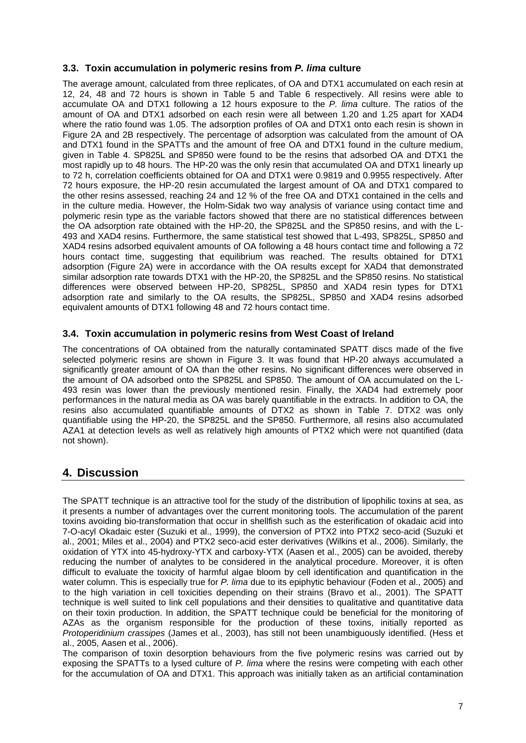#### **3.3. Toxin accumulation in polymeric resins from** *P. lima* **culture**

The average amount, calculated from three replicates, of OA and DTX1 accumulated on each resin at 12, 24, 48 and 72 hours is shown in Table 5 and Table 6 respectively. All resins were able to accumulate OA and DTX1 following a 12 hours exposure to the *P. lima* culture. The ratios of the amount of OA and DTX1 adsorbed on each resin were all between 1.20 and 1.25 apart for XAD4 where the ratio found was 1.05. The adsorption profiles of OA and DTX1 onto each resin is shown in Figure 2A and 2B respectively. The percentage of adsorption was calculated from the amount of OA and DTX1 found in the SPATTs and the amount of free OA and DTX1 found in the culture medium, given in Table 4. SP825L and SP850 were found to be the resins that adsorbed OA and DTX1 the most rapidly up to 48 hours. The HP-20 was the only resin that accumulated OA and DTX1 linearly up to 72 h, correlation coefficients obtained for OA and DTX1 were 0.9819 and 0.9955 respectively. After 72 hours exposure, the HP-20 resin accumulated the largest amount of OA and DTX1 compared to the other resins assessed, reaching 24 and 12 % of the free OA and DTX1 contained in the cells and in the culture media. However, the Holm-Sidak two way analysis of variance using contact time and polymeric resin type as the variable factors showed that there are no statistical differences between the OA adsorption rate obtained with the HP-20, the SP825L and the SP850 resins, and with the L-493 and XAD4 resins. Furthermore, the same statistical test showed that L-493, SP825L, SP850 and XAD4 resins adsorbed equivalent amounts of OA following a 48 hours contact time and following a 72 hours contact time, suggesting that equilibrium was reached. The results obtained for DTX1 adsorption (Figure 2A) were in accordance with the OA results except for XAD4 that demonstrated similar adsorption rate towards DTX1 with the HP-20, the SP825L and the SP850 resins. No statistical differences were observed between HP-20, SP825L, SP850 and XAD4 resin types for DTX1 adsorption rate and similarly to the OA results, the SP825L, SP850 and XAD4 resins adsorbed equivalent amounts of DTX1 following 48 and 72 hours contact time.

#### **3.4. Toxin accumulation in polymeric resins from West Coast of Ireland**

The concentrations of OA obtained from the naturally contaminated SPATT discs made of the five selected polymeric resins are shown in Figure 3. It was found that HP-20 always accumulated a significantly greater amount of OA than the other resins. No significant differences were observed in the amount of OA adsorbed onto the SP825L and SP850. The amount of OA accumulated on the L-493 resin was lower than the previously mentioned resin. Finally, the XAD4 had extremely poor performances in the natural media as OA was barely quantifiable in the extracts. In addition to OA, the resins also accumulated quantifiable amounts of DTX2 as shown in Table 7. DTX2 was only quantifiable using the HP-20, the SP825L and the SP850. Furthermore, all resins also accumulated AZA1 at detection levels as well as relatively high amounts of PTX2 which were not quantified (data not shown).

## **4. Discussion**

The SPATT technique is an attractive tool for the study of the distribution of lipophilic toxins at sea, as it presents a number of advantages over the current monitoring tools. The accumulation of the parent toxins avoiding bio-transformation that occur in shellfish such as the esterification of okadaic acid into 7-O-acyl Okadaic ester (Suzuki et al., 1999), the conversion of PTX2 into PTX2 seco-acid (Suzuki et al., 2001; Miles et al., 2004) and PTX2 seco-acid ester derivatives (Wilkins et al., 2006). Similarly, the oxidation of YTX into 45-hydroxy-YTX and carboxy-YTX (Aasen et al., 2005) can be avoided, thereby reducing the number of analytes to be considered in the analytical procedure. Moreover, it is often difficult to evaluate the toxicity of harmful algae bloom by cell identification and quantification in the water column. This is especially true for *P. lima* due to its epiphytic behaviour (Foden et al., 2005) and to the high variation in cell toxicities depending on their strains (Bravo et al., 2001). The SPATT technique is well suited to link cell populations and their densities to qualitative and quantitative data on their toxin production. In addition, the SPATT technique could be beneficial for the monitoring of AZAs as the organism responsible for the production of these toxins, initially reported as *Protoperidinium crassipes* (James et al., 2003), has still not been unambiguously identified. (Hess et al., 2005, Aasen et al., 2006).

The comparison of toxin desorption behaviours from the five polymeric resins was carried out by exposing the SPATTs to a lysed culture of *P. lima* where the resins were competing with each other for the accumulation of OA and DTX1. This approach was initially taken as an artificial contamination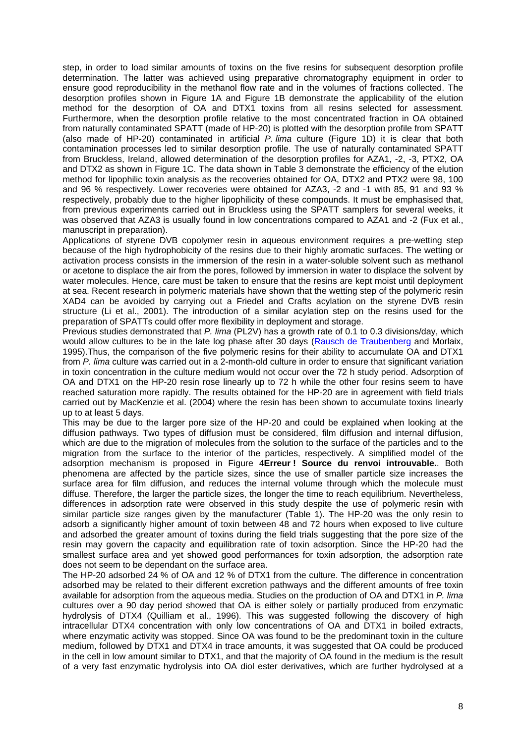step, in order to load similar amounts of toxins on the five resins for subsequent desorption profile determination. The latter was achieved using preparative chromatography equipment in order to ensure good reproducibility in the methanol flow rate and in the volumes of fractions collected. The desorption profiles shown in Figure 1A and Figure 1B demonstrate the applicability of the elution method for the desorption of OA and DTX1 toxins from all resins selected for assessment. Furthermore, when the desorption profile relative to the most concentrated fraction in OA obtained from naturally contaminated SPATT (made of HP-20) is plotted with the desorption profile from SPATT (also made of HP-20) contaminated in artificial *P. lima* culture (Figure 1D) it is clear that both contamination processes led to similar desorption profile. The use of naturally contaminated SPATT from Bruckless, Ireland, allowed determination of the desorption profiles for AZA1, -2, -3, PTX2, OA and DTX2 as shown in Figure 1C. The data shown in Table 3 demonstrate the efficiency of the elution method for lipophilic toxin analysis as the recoveries obtained for OA, DTX2 and PTX2 were 98, 100 and 96 % respectively. Lower recoveries were obtained for AZA3, -2 and -1 with 85, 91 and 93 % respectively, probably due to the higher lipophilicity of these compounds. It must be emphasised that, from previous experiments carried out in Bruckless using the SPATT samplers for several weeks, it was observed that AZA3 is usually found in low concentrations compared to AZA1 and -2 (Fux et al., manuscript in preparation).

Applications of styrene DVB copolymer resin in aqueous environment requires a pre-wetting step because of the high hydrophobicity of the resins due to their highly aromatic surfaces. The wetting or activation process consists in the immersion of the resin in a water-soluble solvent such as methanol or acetone to displace the air from the pores, followed by immersion in water to displace the solvent by water molecules. Hence, care must be taken to ensure that the resins are kept moist until deployment at sea. Recent research in polymeric materials have shown that the wetting step of the polymeric resin XAD4 can be avoided by carrying out a Friedel and Crafts acylation on the styrene DVB resin structure (Li et al., 2001). The introduction of a similar acylation step on the resins used for the preparation of SPATTs could offer more flexibility in deployment and storage.

Previous studies demonstrated that *P. lima* (PL2V) has a growth rate of 0.1 to 0.3 divisions/day, which would allow cultures to be in the late log phase after 30 days ([Rausch de Traubenberg](http://www.sciencedirect.com/#bbib15) and Morlaix, 1995).Thus, the comparison of the five polymeric resins for their ability to accumulate OA and DTX1 from *P. lima* culture was carried out in a 2-month-old culture in order to ensure that significant variation in toxin concentration in the culture medium would not occur over the 72 h study period. Adsorption of OA and DTX1 on the HP-20 resin rose linearly up to 72 h while the other four resins seem to have reached saturation more rapidly. The results obtained for the HP-20 are in agreement with field trials carried out by MacKenzie et al. (2004) where the resin has been shown to accumulate toxins linearly up to at least 5 days.

This may be due to the larger pore size of the HP-20 and could be explained when looking at the diffusion pathways. Two types of diffusion must be considered, film diffusion and internal diffusion, which are due to the migration of molecules from the solution to the surface of the particles and to the migration from the surface to the interior of the particles, respectively. A simplified model of the adsorption mechanism is proposed in Figure 4**Erreur ! Source du renvoi introuvable.**. Both phenomena are affected by the particle sizes, since the use of smaller particle size increases the surface area for film diffusion, and reduces the internal volume through which the molecule must diffuse. Therefore, the larger the particle sizes, the longer the time to reach equilibrium. Nevertheless, differences in adsorption rate were observed in this study despite the use of polymeric resin with similar particle size ranges given by the manufacturer (Table 1). The HP-20 was the only resin to adsorb a significantly higher amount of toxin between 48 and 72 hours when exposed to live culture and adsorbed the greater amount of toxins during the field trials suggesting that the pore size of the resin may govern the capacity and equilibration rate of toxin adsorption. Since the HP-20 had the smallest surface area and yet showed good performances for toxin adsorption, the adsorption rate does not seem to be dependant on the surface area.

The HP-20 adsorbed 24 % of OA and 12 % of DTX1 from the culture. The difference in concentration adsorbed may be related to their different excretion pathways and the different amounts of free toxin available for adsorption from the aqueous media. Studies on the production of OA and DTX1 in *P. lima* cultures over a 90 day period showed that OA is either solely or partially produced from enzymatic hydrolysis of DTX4 (Quilliam et al., 1996). This was suggested following the discovery of high intracellular DTX4 concentration with only low concentrations of OA and DTX1 in boiled extracts, where enzymatic activity was stopped. Since OA was found to be the predominant toxin in the culture medium, followed by DTX1 and DTX4 in trace amounts, it was suggested that OA could be produced in the cell in low amount similar to DTX1, and that the majority of OA found in the medium is the result of a very fast enzymatic hydrolysis into OA diol ester derivatives, which are further hydrolysed at a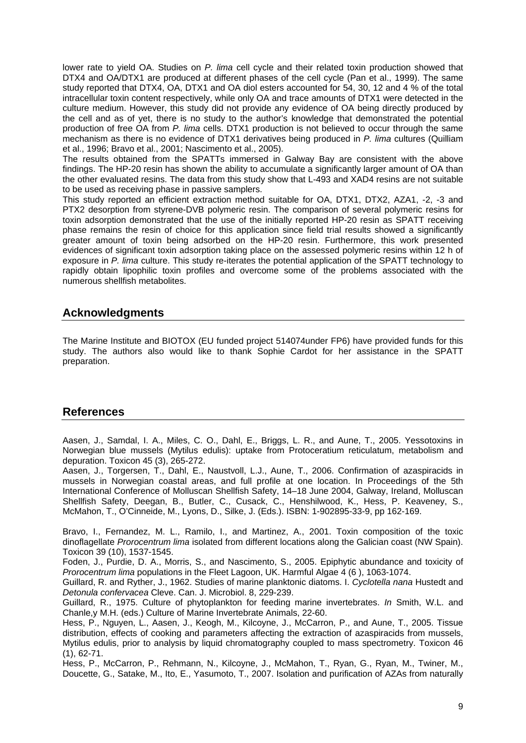lower rate to yield OA. Studies on *P. lima* cell cycle and their related toxin production showed that DTX4 and OA/DTX1 are produced at different phases of the cell cycle (Pan et al., 1999). The same study reported that DTX4, OA, DTX1 and OA diol esters accounted for 54, 30, 12 and 4 % of the total intracellular toxin content respectively, while only OA and trace amounts of DTX1 were detected in the culture medium. However, this study did not provide any evidence of OA being directly produced by the cell and as of yet, there is no study to the author's knowledge that demonstrated the potential production of free OA from *P. lima* cells. DTX1 production is not believed to occur through the same mechanism as there is no evidence of DTX1 derivatives being produced in *P. lima* cultures (Quilliam et al., 1996; Bravo et al., 2001; Nascimento et al., 2005).

The results obtained from the SPATTs immersed in Galway Bay are consistent with the above findings. The HP-20 resin has shown the ability to accumulate a significantly larger amount of OA than the other evaluated resins. The data from this study show that L-493 and XAD4 resins are not suitable to be used as receiving phase in passive samplers.

This study reported an efficient extraction method suitable for OA, DTX1, DTX2, AZA1, -2, -3 and PTX2 desorption from styrene-DVB polymeric resin. The comparison of several polymeric resins for toxin adsorption demonstrated that the use of the initially reported HP-20 resin as SPATT receiving phase remains the resin of choice for this application since field trial results showed a significantly greater amount of toxin being adsorbed on the HP-20 resin. Furthermore, this work presented evidences of significant toxin adsorption taking place on the assessed polymeric resins within 12 h of exposure in *P. lima* culture. This study re-iterates the potential application of the SPATT technology to rapidly obtain lipophilic toxin profiles and overcome some of the problems associated with the numerous shellfish metabolites.

### **Acknowledgments**

The Marine Institute and BIOTOX (EU funded project 514074under FP6) have provided funds for this study. The authors also would like to thank Sophie Cardot for her assistance in the SPATT preparation.

### **References**

Aasen, J., Samdal, I. A., Miles, C. O., Dahl, E., Briggs, L. R., and Aune, T., 2005. Yessotoxins in Norwegian blue mussels (Mytilus edulis): uptake from Protoceratium reticulatum, metabolism and depuration. Toxicon 45 (3), 265-272.

Aasen, J., Torgersen, T., Dahl, E., Naustvoll, L.J., Aune, T., 2006. Confirmation of azaspiracids in mussels in Norwegian coastal areas, and full profile at one location. In Proceedings of the 5th International Conference of Molluscan Shellfish Safety, 14–18 June 2004, Galway, Ireland, Molluscan Shellfish Safety, Deegan, B., Butler, C., Cusack, C., Henshilwood, K., Hess, P. Keaveney, S., McMahon, T., O'Cinneide, M., Lyons, D., Silke, J. (Eds.). ISBN: 1-902895-33-9, pp 162-169.

Bravo, I., Fernandez, M. L., Ramilo, I., and Martinez, A., 2001. Toxin composition of the toxic dinoflagellate *Prorocentrum lima* isolated from different locations along the Galician coast (NW Spain). Toxicon 39 (10), 1537-1545.

Foden, J., Purdie, D. A., Morris, S., and Nascimento, S., 2005. Epiphytic abundance and toxicity of *Prorocentrum lima* populations in the Fleet Lagoon, UK. Harmful Algae 4 (6 ), 1063-1074.

Guillard, R. and Ryther, J., 1962. Studies of marine planktonic diatoms. I. *Cyclotella nana* Hustedt and *Detonula confervacea* Cleve. Can. J. Microbiol. 8, 229-239.

Guillard, R., 1975. Culture of phytoplankton for feeding marine invertebrates. *In* Smith, W.L. and Chanle,y M.H. (eds.) Culture of Marine Invertebrate Animals, 22-60.

Hess, P., Nguyen, L., Aasen, J., Keogh, M., Kilcoyne, J., McCarron, P., and Aune, T., 2005. Tissue distribution, effects of cooking and parameters affecting the extraction of azaspiracids from mussels, Mytilus edulis, prior to analysis by liquid chromatography coupled to mass spectrometry. Toxicon 46 (1), 62-71.

Hess, P., McCarron, P., Rehmann, N., Kilcoyne, J., McMahon, T., Ryan, G., Ryan, M., Twiner, M., Doucette, G., Satake, M., Ito, E., Yasumoto, T., 2007. Isolation and purification of AZAs from naturally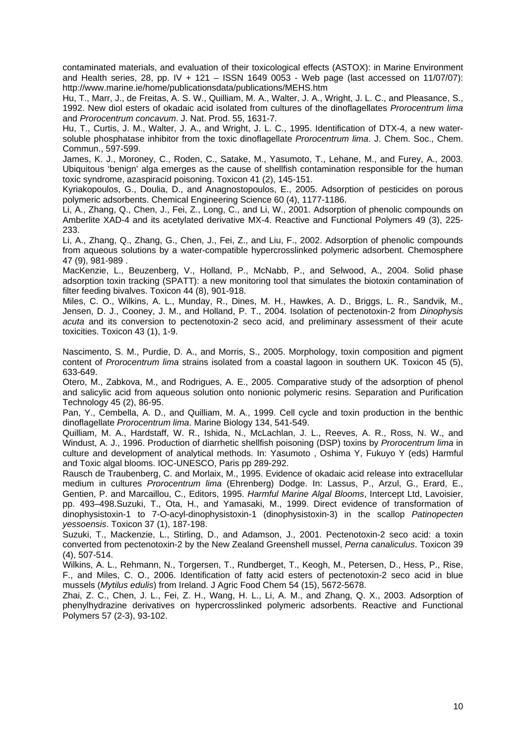contaminated materials, and evaluation of their toxicological effects (ASTOX): in Marine Environment and Health series, 28, pp. IV + 121 – ISSN 1649 0053 - Web page (last accessed on 11/07/07): http://www.marine.ie/home/publicationsdata/publications/MEHS.htm

Hu, T., Marr, J., de Freitas, A. S. W., Quilliam, M. A., Walter, J. A., Wright, J. L. C., and Pleasance, S., 1992. New diol esters of okadaic acid isolated from cultures of the dinoflagellates *Prorocentrum lima* and *Prorocentrum concavum*. J. Nat. Prod. 55, 1631-7.

Hu, T., Curtis, J. M., Walter, J. A., and Wright, J. L. C., 1995. Identification of DTX-4, a new watersoluble phosphatase inhibitor from the toxic dinoflagellate *Prorocentrum lima*. J. Chem. Soc., Chem. Commun., 597-599.

James, K. J., Moroney, C., Roden, C., Satake, M., Yasumoto, T., Lehane, M., and Furey, A., 2003. Ubiquitous 'benign' alga emerges as the cause of shellfish contamination responsible for the human toxic syndrome, azaspiracid poisoning. Toxicon 41 (2), 145-151.

Kyriakopoulos, G., Doulia, D., and Anagnostopoulos, E., 2005. Adsorption of pesticides on porous polymeric adsorbents. Chemical Engineering Science 60 (4), 1177-1186.

Li, A., Zhang, Q., Chen, J., Fei, Z., Long, C., and Li, W., 2001. Adsorption of phenolic compounds on Amberlite XAD-4 and its acetylated derivative MX-4. Reactive and Functional Polymers 49 (3), 225- 233.

Li, A., Zhang, Q., Zhang, G., Chen, J., Fei, Z., and Liu, F., 2002. Adsorption of phenolic compounds from aqueous solutions by a water-compatible hypercrosslinked polymeric adsorbent. Chemosphere 47 (9), 981-989 .

MacKenzie, L., Beuzenberg, V., Holland, P., McNabb, P., and Selwood, A., 2004. Solid phase adsorption toxin tracking (SPATT): a new monitoring tool that simulates the biotoxin contamination of filter feeding bivalves. Toxicon 44 (8), 901-918.

Miles, C. O., Wilkins, A. L., Munday, R., Dines, M. H., Hawkes, A. D., Briggs, L. R., Sandvik, M., Jensen, D. J., Cooney, J. M., and Holland, P. T., 2004. Isolation of pectenotoxin-2 from *Dinophysis acuta* and its conversion to pectenotoxin-2 seco acid, and preliminary assessment of their acute toxicities. Toxicon 43 (1), 1-9.

Nascimento, S. M., Purdie, D. A., and Morris, S., 2005. Morphology, toxin composition and pigment content of *Prorocentrum lima* strains isolated from a coastal lagoon in southern UK. Toxicon 45 (5), 633-649.

Otero, M., Zabkova, M., and Rodrigues, A. E., 2005. Comparative study of the adsorption of phenol and salicylic acid from aqueous solution onto nonionic polymeric resins. Separation and Purification Technology 45 (2), 86-95.

Pan, Y., Cembella, A. D., and Quilliam, M. A., 1999. Cell cycle and toxin production in the benthic dinoflagellate *Prorocentrum lima*. Marine Biology 134, 541-549.

Quilliam, M. A., Hardstaff, W. R., Ishida, N., McLachlan, J. L., Reeves, A. R., Ross, N. W., and Windust, A. J., 1996. Production of diarrhetic shellfish poisoning (DSP) toxins by *Prorocentrum lima* in culture and development of analytical methods. In: Yasumoto , Oshima Y, Fukuyo Y (eds) Harmful and Toxic algal blooms. IOC-UNESCO, Paris pp 289-292.

[Rausch de Traubenberg](http://www.sciencedirect.com/#bbib15), C. and Morlaix, M., 1995. Evidence of okadaic acid release into extracellular medium in cultures *Prorocentrum lima* (Ehrenberg) Dodge. In: Lassus, P., Arzul, G., Erard, E., Gentien, P. and Marcaillou, C., Editors, 1995. *Harmful Marine Algal Blooms*, Intercept Ltd, Lavoisier, pp. 493–498.Suzuki, T., Ota, H., and Yamasaki, M., 1999. Direct evidence of transformation of dinophysistoxin-1 to 7-O-acyl-dinophysistoxin-1 (dinophysistoxin-3) in the scallop *Patinopecten yessoensis*. Toxicon 37 (1), 187-198.

Suzuki, T., Mackenzie, L., Stirling, D., and Adamson, J., 2001. Pectenotoxin-2 seco acid: a toxin converted from pectenotoxin-2 by the New Zealand Greenshell mussel, *Perna canaliculus*. Toxicon 39 (4), 507-514.

Wilkins, A. L., Rehmann, N., Torgersen, T., Rundberget, T., Keogh, M., Petersen, D., Hess, P., Rise, F., and Miles, C. O., 2006. Identification of fatty acid esters of pectenotoxin-2 seco acid in blue mussels (*Mytilus edulis*) from Ireland. J Agric Food Chem 54 (15), 5672-5678.

Zhai, Z. C., Chen, J. L., Fei, Z. H., Wang, H. L., Li, A. M., and Zhang, Q. X., 2003. Adsorption of phenylhydrazine derivatives on hypercrosslinked polymeric adsorbents. Reactive and Functional Polymers 57 (2-3), 93-102.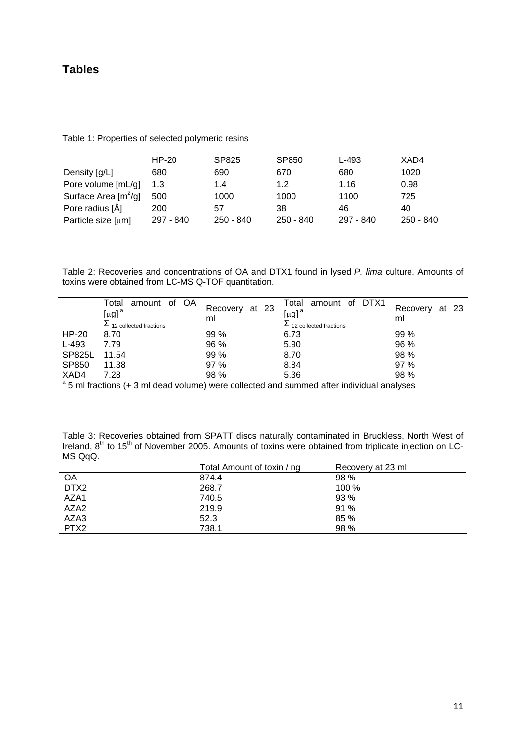### **Tables**

| Table 1: Properties of selected polymeric resins |  |
|--------------------------------------------------|--|
|--------------------------------------------------|--|

|                        | HP-20     | SP825     | SP850     | L-493     | XAD4      |
|------------------------|-----------|-----------|-----------|-----------|-----------|
| Density [g/L]          | 680       | 690       | 670       | 680       | 1020      |
| Pore volume [mL/g]     | 1.3       | 1.4       | 1.2       | 1.16      | 0.98      |
| Surface Area $[m^2/q]$ | 500       | 1000      | 1000      | 1100      | 725       |
| Pore radius [Å]        | 200       | 57        | 38        | 46        | 40        |
| Particle size [µm]     | 297 - 840 | 250 - 840 | 250 - 840 | 297 - 840 | 250 - 840 |

Table 2: Recoveries and concentrations of OA and DTX1 found in lysed *P. lima* culture. Amounts of toxins were obtained from LC-MS Q-TOF quantitation.

|                                                                                                       | amount of OA<br>Total<br>$[\mu$ g] <sup>a</sup> | Recovery at 23 | Total amount of DTX1<br>[ $\mu$ g] <sup>a</sup> | at 23<br>Recovery |  |
|-------------------------------------------------------------------------------------------------------|-------------------------------------------------|----------------|-------------------------------------------------|-------------------|--|
|                                                                                                       | $\Sigma$ 12 collected fractions                 | ml             | $\Sigma$ 12 collected fractions                 | ml                |  |
| HP-20                                                                                                 | 8.70                                            | 99%            | 6.73                                            | 99 %              |  |
| $L-493$                                                                                               | 7.79                                            | 96 %           | 5.90                                            | 96 %              |  |
| <b>SP825L</b>                                                                                         | 11.54                                           | 99 %           | 8.70                                            | 98 %              |  |
| SP850                                                                                                 | 11.38                                           | 97 %           | 8.84                                            | 97 %              |  |
| XAD4                                                                                                  | 7.28                                            | 98 %           | 5.36                                            | 98 %              |  |
| $\frac{a}{a}$ 5 ml fractions (+ 3 ml dead volume) were collected and summed after individual analyses |                                                 |                |                                                 |                   |  |

Table 3: Recoveries obtained from SPATT discs naturally contaminated in Bruckless, North West of Ireland,  $8<sup>th</sup>$  to 15<sup>th</sup> of November 2005. Amounts of toxins were obtained from triplicate injection on LC-MS QqQ.

|                  | Total Amount of toxin / ng | Recovery at 23 ml |
|------------------|----------------------------|-------------------|
| OA               | 874.4                      | 98 %              |
| DTX2             | 268.7                      | 100 %             |
| AZA1             | 740.5                      | 93 %              |
| AZA <sub>2</sub> | 219.9                      | 91 %              |
| AZA3             | 52.3                       | 85 %              |
| PTX <sub>2</sub> | 738.1                      | 98 %              |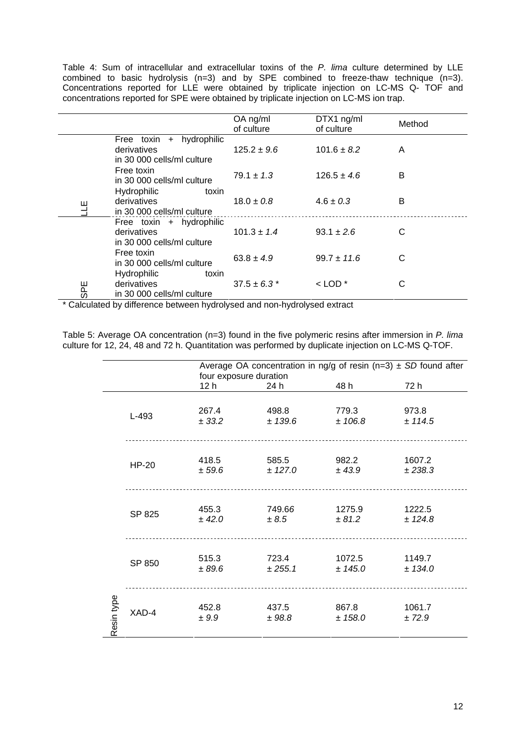Table 4: Sum of intracellular and extracellular toxins of the *P. lima* culture determined by LLE combined to basic hydrolysis (n=3) and by SPE combined to freeze-thaw technique (n=3). Concentrations reported for LLE were obtained by triplicate injection on LC-MS Q- TOF and concentrations reported for SPE were obtained by triplicate injection on LC-MS ion trap.

|            |                                                                          | OA ng/ml<br>of culture | DTX1 ng/ml<br>of culture | Method |
|------------|--------------------------------------------------------------------------|------------------------|--------------------------|--------|
|            | Free toxin + hydrophilic<br>derivatives<br>in 30 000 cells/ml culture    | $125.2 \pm 9.6$        | $101.6 \pm 8.2$          | A      |
|            | Free toxin<br>in 30 000 cells/ml culture                                 | $79.1 \pm 1.3$         | $126.5 \pm 4.6$          | B      |
| ш          | <b>Hydrophilic</b><br>toxin<br>derivatives<br>in 30 000 cells/ml culture | $18.0 \pm 0.8$         | $4.6 \pm 0.3$            | B      |
|            | Free toxin + hydrophilic<br>derivatives<br>in 30 000 cells/ml culture    | $101.3 \pm 1.4$        | $93.1 \pm 2.6$           | C      |
|            | Free toxin<br>in 30 000 cells/ml culture                                 | $63.8 \pm 4.9$         | $99.7 \pm 11.6$          | C      |
| <b>SPE</b> | <b>Hydrophilic</b><br>toxin<br>derivatives<br>in 30 000 cells/ml culture | $37.5 \pm 6.3$ *       | $<$ LOD $*$              | C      |

\* Calculated by difference between hydrolysed and non-hydrolysed extract

Table 5: Average OA concentration (n=3) found in the five polymeric resins after immersion in *P. lima* culture for 12, 24, 48 and 72 h. Quantitation was performed by duplicate injection on LC-MS Q-TOF.

|            |              | Average OA concentration in ng/g of resin (n=3) $\pm$ SD found after<br>four exposure duration |                     |                   |                   |  |
|------------|--------------|------------------------------------------------------------------------------------------------|---------------------|-------------------|-------------------|--|
|            |              | 12 <sub>h</sub>                                                                                | 24 h                | 48 h              | 72 h              |  |
|            | L-493        | 267.4<br>± 33.2                                                                                | 498.8<br>± 139.6    | 779.3<br>± 106.8  | 973.8<br>± 114.5  |  |
|            | <b>HP-20</b> | 418.5<br>± 59.6                                                                                | 585.5<br>± 127.0    | 982.2<br>± 43.9   | 1607.2<br>± 238.3 |  |
|            | SP 825       | 455.3<br>± 42.0                                                                                | 749.66<br>$\pm 8.5$ | 1275.9<br>± 81.2  | 1222.5<br>± 124.8 |  |
|            | SP 850       | 515.3<br>± 89.6                                                                                | 723.4<br>± 255.1    | 1072.5<br>± 145.0 | 1149.7<br>± 134.0 |  |
| Resin type | XAD-4        | 452.8<br>± 9.9                                                                                 | 437.5<br>± 98.8     | 867.8<br>± 158.0  | 1061.7<br>± 72.9  |  |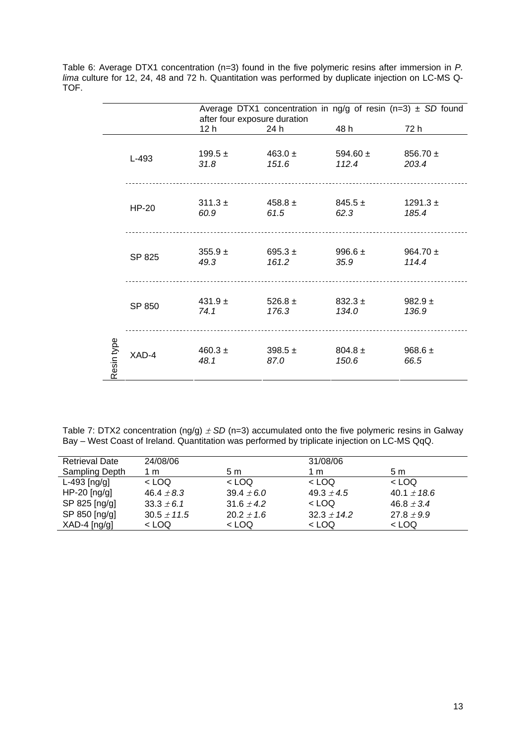Table 6: Average DTX1 concentration (n=3) found in the five polymeric resins after immersion in *P. lima* culture for 12, 24, 48 and 72 h. Quantitation was performed by duplicate injection on LC-MS Q-TOF.

|            |              | Average DTX1 concentration in ng/g of resin (n=3) $\pm$ SD found<br>after four exposure duration |                      |                       |                       |  |
|------------|--------------|--------------------------------------------------------------------------------------------------|----------------------|-----------------------|-----------------------|--|
|            |              | 12 h                                                                                             | 24 h                 | 48 h                  | 72 h                  |  |
|            | L-493        | $199.5 \pm$<br>31.8                                                                              | $463.0 \pm$<br>151.6 | 594.60 $\pm$<br>112.4 | $856.70 \pm$<br>203.4 |  |
|            | <b>HP-20</b> | $311.3 \pm$<br>60.9                                                                              | $458.8 \pm$<br>61.5  | $845.5 \pm$<br>62.3   | $1291.3 \pm$<br>185.4 |  |
|            | SP 825       | $355.9 +$<br>49.3                                                                                | 695.3 $\pm$<br>161.2 | 996.6 $\pm$<br>35.9   | 964.70 $\pm$<br>114.4 |  |
|            | SP 850       | 431.9 $\pm$<br>74.1                                                                              | 526.8 $\pm$<br>176.3 | $832.3 \pm$<br>134.0  | 982.9 $\pm$<br>136.9  |  |
| Resin type | XAD-4        | $460.3 \pm$<br>48.1                                                                              | 398.5 $\pm$<br>87.0  | $804.8 \pm$<br>150.6  | 968.6 $\pm$<br>66.5   |  |

Table 7: DTX2 concentration (ng/g)  $\pm$  SD (n=3) accumulated onto the five polymeric resins in Galway Bay – West Coast of Ireland. Quantitation was performed by triplicate injection on LC-MS QqQ.

| <b>Retrieval Date</b> | 24/08/06        |                | 31/08/06        |                 |
|-----------------------|-----------------|----------------|-----------------|-----------------|
| Sampling Depth        | 1 m             | 5 m            | 1 m             | 5 m             |
| $L-493$ [ng/g]        | $<$ LOQ         | $<$ LOQ        | $<$ LOQ         | $<$ LOQ         |
| $HP-20$ [ng/g]        | 46.4 $\pm$ 8.3  | $39.4 \pm 6.0$ | 49.3 $\pm$ 4.5  | $40.1 \pm 18.6$ |
| SP 825 [ng/g]         | $33.3 \pm 6.1$  | 31.6 $\pm$ 4.2 | $<$ LOQ         | $46.8 \pm 3.4$  |
| SP 850 [ng/g]         | $30.5 \pm 11.5$ | $20.2 \pm 1.6$ | $32.3 \pm 14.2$ | $27.8 \pm 9.9$  |
| $XAD-4$ [ng/g]        | < LOQ           | $<$ LOQ        | $<$ LOQ         | $<$ LOQ         |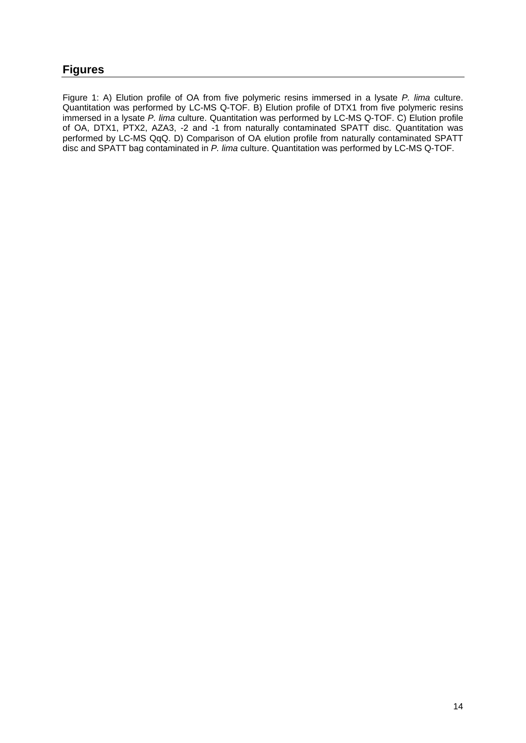# **Figures**

Figure 1: A) Elution profile of OA from five polymeric resins immersed in a lysate *P. lima* culture. Quantitation was performed by LC-MS Q-TOF. B) Elution profile of DTX1 from five polymeric resins immersed in a lysate *P. lima* culture. Quantitation was performed by LC-MS Q-TOF. C) Elution profile of OA, DTX1, PTX2, AZA3, -2 and -1 from naturally contaminated SPATT disc. Quantitation was performed by LC-MS QqQ. D) Comparison of OA elution profile from naturally contaminated SPATT disc and SPATT bag contaminated in *P. lima* culture. Quantitation was performed by LC-MS Q-TOF.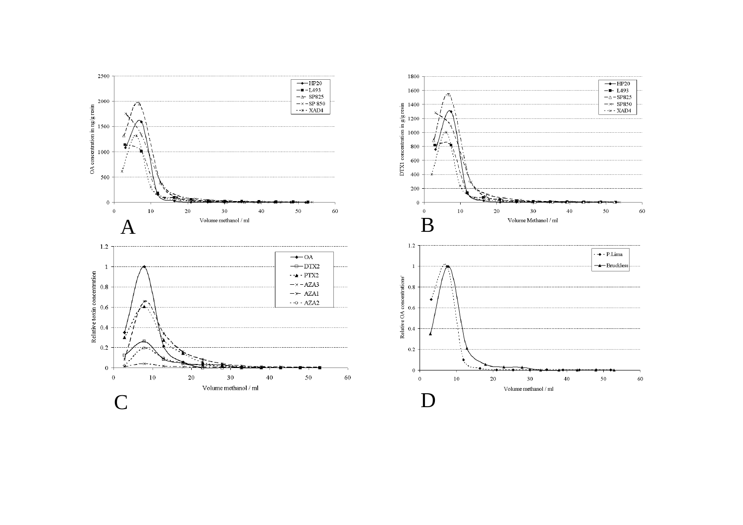

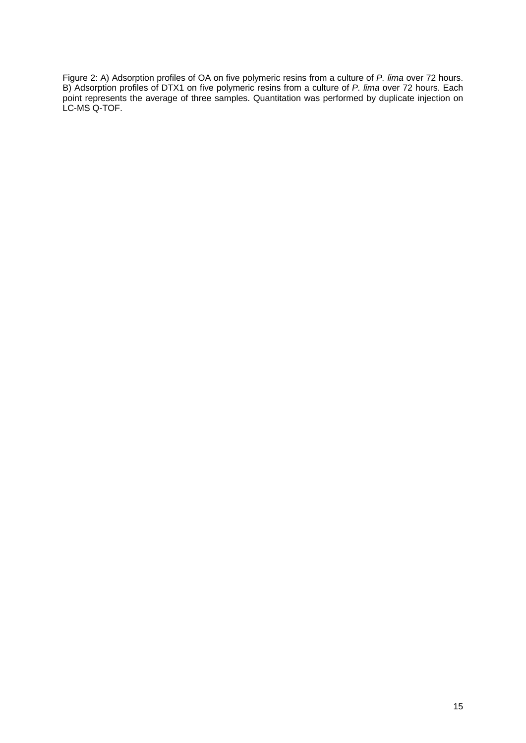Figure 2: A) Adsorption profiles of OA on five polymeric resins from a culture of *P. lima* over 72 hours. B) Adsorption profiles of DTX1 on five polymeric resins from a culture of *P. lima* over 72 hours. Each point represents the average of three samples. Quantitation was performed by duplicate injection on LC-MS Q-TOF.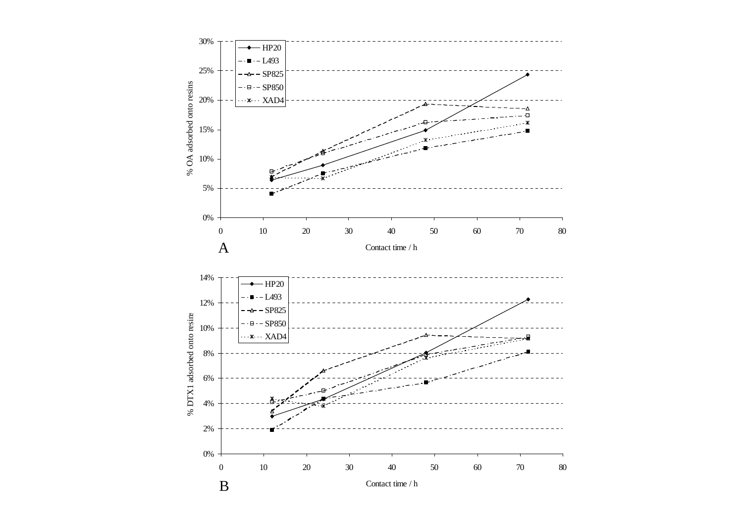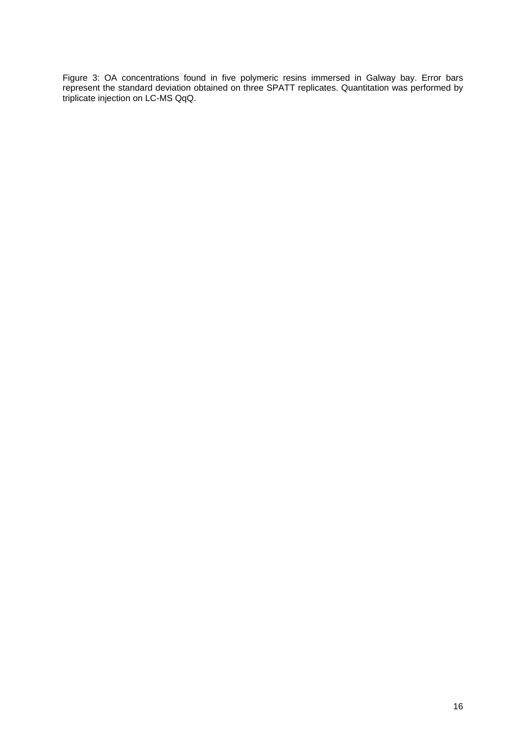Figure 3: OA concentrations found in five polymeric resins immersed in Galway bay. Error bars represent the standard deviation obtained on three SPATT replicates. Quantitation was performed by triplicate injection on LC-MS QqQ.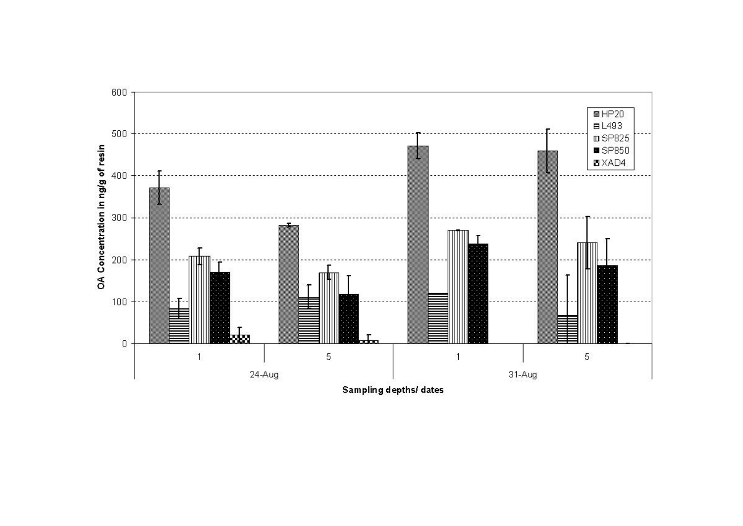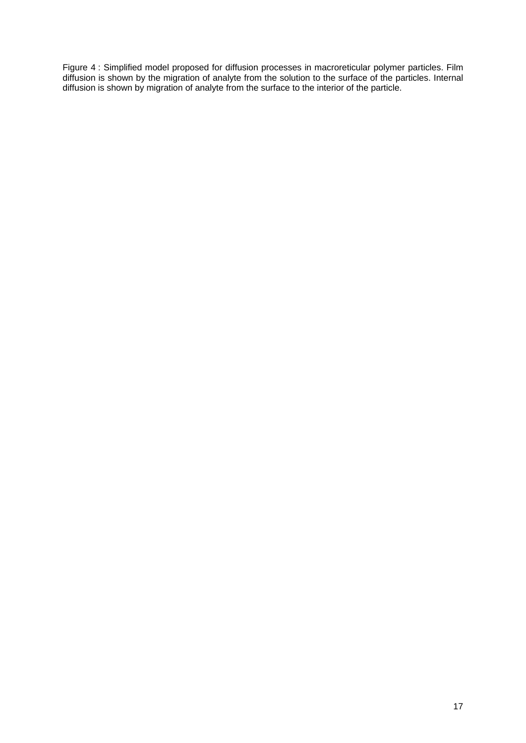Figure 4 : Simplified model proposed for diffusion processes in macroreticular polymer particles. Film diffusion is shown by the migration of analyte from the solution to the surface of the particles. Internal diffusion is shown by migration of analyte from the surface to the interior of the particle.